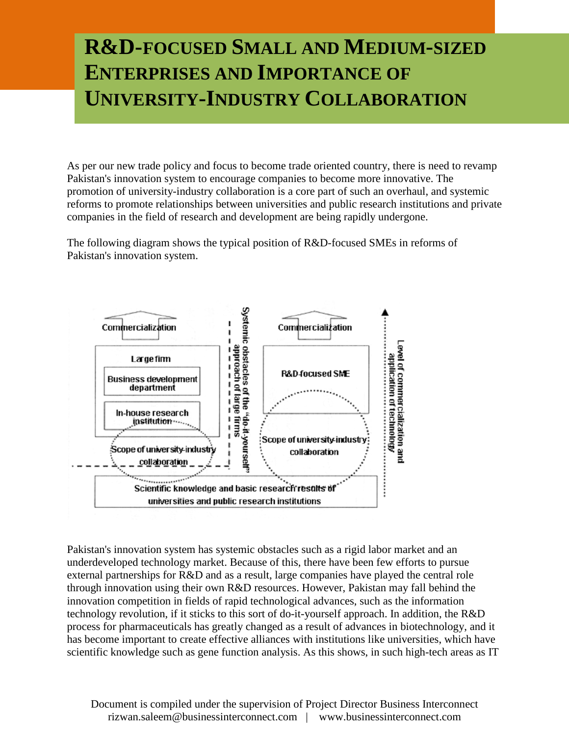## **R&D-FOCUSED SMALL AND MEDIUM-SIZED ENTERPRISES AND IMPORTANCE OF UNIVERSITY-INDUSTRY COLLABORATION**

As per our new trade policy and focus to become trade oriented country, there is need to revamp Pakistan's innovation system to encourage companies to become more innovative. The promotion of university-industry collaboration is a core part of such an overhaul, and systemic reforms to promote relationships between universities and public research institutions and private companies in the field of research and development are being rapidly undergone.

The following diagram shows the typical position of R&D-focused SMEs in reforms of Pakistan's innovation system.



Pakistan's innovation system has systemic obstacles such as a rigid labor market and an underdeveloped technology market. Because of this, there have been few efforts to pursue external partnerships for R&D and as a result, large companies have played the central role through innovation using their own R&D resources. However, Pakistan may fall behind the innovation competition in fields of rapid technological advances, such as the information technology revolution, if it sticks to this sort of do-it-yourself approach. In addition, the R&D process for pharmaceuticals has greatly changed as a result of advances in biotechnology, and it has become important to create effective alliances with institutions like universities, which have scientific knowledge such as gene function analysis. As this shows, in such high-tech areas as IT

Document is compiled under the supervision of Project Director Business Interconnect rizwan.saleem@businessinterconnect.com | www.businessinterconnect.com